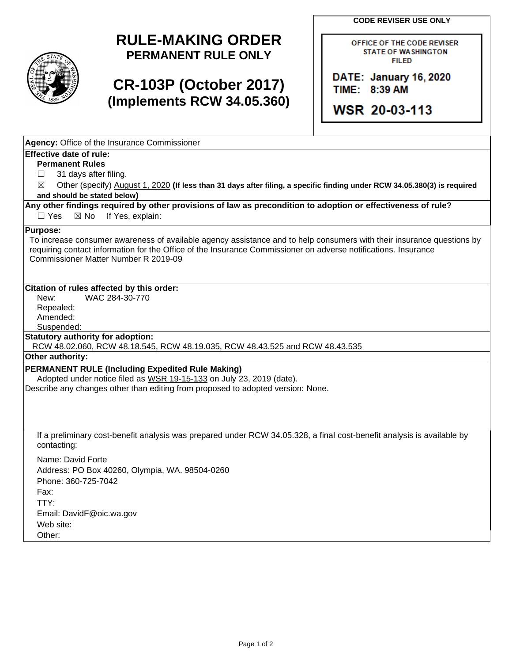**CODE REVISER USE ONLY** 



## **RULE-MAKING ORDER PERMANENT RULE ONLY**

## **CR-103P (October 2017) (Implements RCW 34.05.360)**

OFFICE OF THE CODE REVISER STATE OF WASHINGTON FIILED

DATE: January 16, 2020 TIME: 8:39 AM

**WSR 20-03-113** 

| Agency: Office of the Insurance Commissioner                                                                                                                     |
|------------------------------------------------------------------------------------------------------------------------------------------------------------------|
| <b>Effective date of rule:</b>                                                                                                                                   |
| <b>Permanent Rules</b>                                                                                                                                           |
| 31 days after filing.                                                                                                                                            |
| Other (specify) August 1, 2020 (If less than 31 days after filing, a specific finding under RCW 34.05.380(3) is required<br>⊠                                    |
| and should be stated below)                                                                                                                                      |
| Any other findings required by other provisions of law as precondition to adoption or effectiveness of rule?<br>$\Box$ Yes<br>$\boxtimes$ No<br>If Yes, explain: |
| <b>Purpose:</b>                                                                                                                                                  |
| To increase consumer awareness of available agency assistance and to help consumers with their insurance questions by                                            |
| requiring contact information for the Office of the Insurance Commissioner on adverse notifications. Insurance<br>Commissioner Matter Number R 2019-09           |
|                                                                                                                                                                  |
|                                                                                                                                                                  |
| Citation of rules affected by this order:                                                                                                                        |
| WAC 284-30-770<br>New:                                                                                                                                           |
| Repealed:                                                                                                                                                        |
| Amended:                                                                                                                                                         |
| Suspended:                                                                                                                                                       |
| <b>Statutory authority for adoption:</b>                                                                                                                         |
| RCW 48.02.060, RCW 48.18.545, RCW 48.19.035, RCW 48.43.525 and RCW 48.43.535                                                                                     |
| Other authority:                                                                                                                                                 |
| PERMANENT RULE (Including Expedited Rule Making)                                                                                                                 |
| Adopted under notice filed as WSR 19-15-133 on July 23, 2019 (date).                                                                                             |
| Describe any changes other than editing from proposed to adopted version: None.                                                                                  |
|                                                                                                                                                                  |
|                                                                                                                                                                  |
|                                                                                                                                                                  |
| If a preliminary cost-benefit analysis was prepared under RCW 34.05.328, a final cost-benefit analysis is available by<br>contacting:                            |
| Name: David Forte                                                                                                                                                |
| Address: PO Box 40260, Olympia, WA. 98504-0260                                                                                                                   |
| Phone: 360-725-7042                                                                                                                                              |
| Fax:                                                                                                                                                             |
| TTY:                                                                                                                                                             |
|                                                                                                                                                                  |
| Email: DavidF@oic.wa.gov                                                                                                                                         |
| Web site:                                                                                                                                                        |
| Other:                                                                                                                                                           |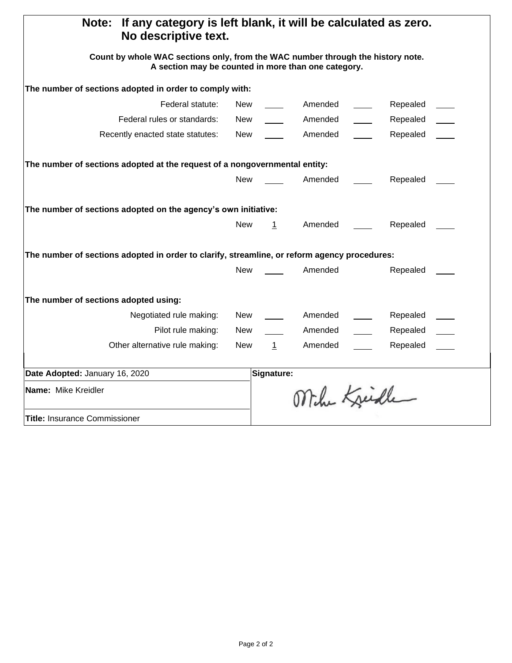| If any category is left blank, it will be calculated as zero.<br><b>Note:</b><br>No descriptive text.                                  |            |              |              |  |          |  |  |
|----------------------------------------------------------------------------------------------------------------------------------------|------------|--------------|--------------|--|----------|--|--|
| Count by whole WAC sections only, from the WAC number through the history note.<br>A section may be counted in more than one category. |            |              |              |  |          |  |  |
| The number of sections adopted in order to comply with:                                                                                |            |              |              |  |          |  |  |
| Federal statute:                                                                                                                       | New        |              | Amended      |  | Repealed |  |  |
| Federal rules or standards:                                                                                                            | New        |              | Amended      |  | Repealed |  |  |
| Recently enacted state statutes:                                                                                                       | New        |              | Amended      |  | Repealed |  |  |
| The number of sections adopted at the request of a nongovernmental entity:                                                             |            |              |              |  |          |  |  |
|                                                                                                                                        | <b>New</b> |              | Amended      |  | Repealed |  |  |
| The number of sections adopted on the agency's own initiative:<br><b>New</b><br>Amended<br>$\mathbf 1$<br>Repealed                     |            |              |              |  |          |  |  |
|                                                                                                                                        |            |              |              |  |          |  |  |
| The number of sections adopted in order to clarify, streamline, or reform agency procedures:                                           |            |              |              |  |          |  |  |
|                                                                                                                                        | New        |              | Amended      |  | Repealed |  |  |
| The number of sections adopted using:                                                                                                  |            |              |              |  |          |  |  |
| Negotiated rule making:                                                                                                                | New        |              | Amended      |  | Repealed |  |  |
| Pilot rule making:                                                                                                                     | New        |              | Amended      |  | Repealed |  |  |
| Other alternative rule making:                                                                                                         | New        | $\mathbf{1}$ | Amended      |  | Repealed |  |  |
| Date Adopted: January 16, 2020                                                                                                         |            | Signature:   |              |  |          |  |  |
| Name: Mike Kreidler                                                                                                                    |            |              | Mihe Kreiche |  |          |  |  |
| <b>Title: Insurance Commissioner</b>                                                                                                   |            |              |              |  |          |  |  |